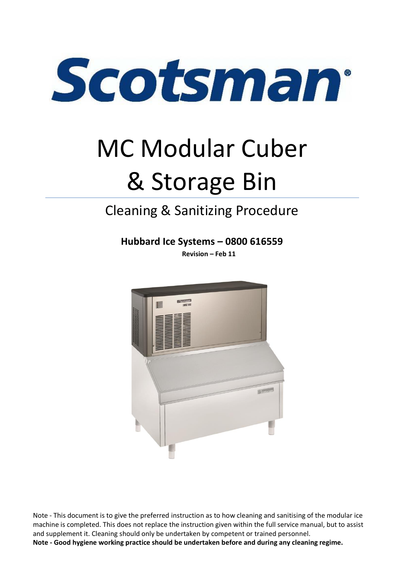

# MC Modular Cuber & Storage Bin

# Cleaning & Sanitizing Procedure

**Hubbard Ice Systems – 0800 616559**

**Revision – Feb 11**



Note - This document is to give the preferred instruction as to how cleaning and sanitising of the modular ice machine is completed. This does not replace the instruction given within the full service manual, but to assist and supplement it. Cleaning should only be undertaken by competent or trained personnel.

**Note - Good hygiene working practice should be undertaken before and during any cleaning regime.**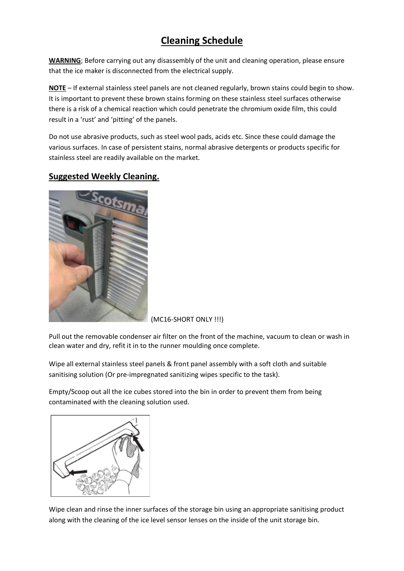# **Cleaning Schedule**

**WARNING**; Before carrying out any disassembly of the unit and cleaning operation, please ensure that the ice maker is disconnected from the electrical supply.

**NOTE** – If external stainless steel panels are not cleaned regularly, brown stains could begin to show. It is important to prevent these brown stains forming on these stainless steel surfaces otherwise there is a risk of a chemical reaction which could penetrate the chromium oxide film, this could result in a 'rust' and 'pitting' of the panels.

Do not use abrasive products, such as steel wool pads, acids etc. Since these could damage the various surfaces. In case of persistent stains, normal abrasive detergents or products specific for stainless steel are readily available on the market.

### **Suggested Weekly Cleaning.**



(MC16-SHORT ONLY !!!)

Pull out the removable condenser air filter on the front of the machine, vacuum to clean or wash in clean water and dry, refit it in to the runner moulding once complete.

Wipe all external stainless steel panels & front panel assembly with a soft cloth and suitable sanitising solution (Or pre-impregnated sanitizing wipes specific to the task).

Empty/Scoop out all the ice cubes stored into the bin in order to prevent them from being contaminated with the cleaning solution used.



Wipe clean and rinse the inner surfaces of the storage bin using an appropriate sanitising product along with the cleaning of the ice level sensor lenses on the inside of the unit storage bin.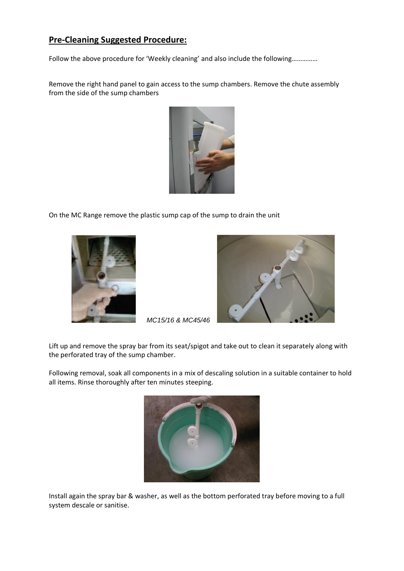# **Pre-Cleaning Suggested Procedure:**

Follow the above procedure for 'Weekly cleaning' and also include the following……………

Remove the right hand panel to gain access to the sump chambers. Remove the chute assembly from the side of the sump chambers



On the MC Range remove the plastic sump cap of the sump to drain the unit





*MC15/16 & MC45/46* 

Lift up and remove the spray bar from its seat/spigot and take out to clean it separately along with the perforated tray of the sump chamber.

Following removal, soak all components in a mix of descaling solution in a suitable container to hold all items. Rinse thoroughly after ten minutes steeping.



Install again the spray bar & washer, as well as the bottom perforated tray before moving to a full system descale or sanitise.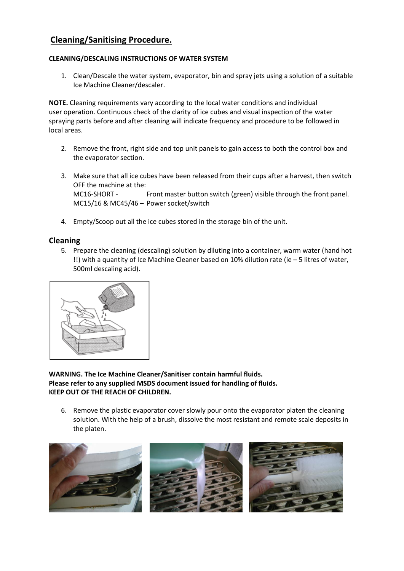# **Cleaning/Sanitising Procedure.**

#### **CLEANING/DESCALING INSTRUCTIONS OF WATER SYSTEM**

1. Clean/Descale the water system, evaporator, bin and spray jets using a solution of a suitable Ice Machine Cleaner/descaler.

**NOTE.** Cleaning requirements vary according to the local water conditions and individual user operation. Continuous check of the clarity of ice cubes and visual inspection of the water spraying parts before and after cleaning will indicate frequency and procedure to be followed in local areas.

- 2. Remove the front, right side and top unit panels to gain access to both the control box and the evaporator section.
- 3. Make sure that all ice cubes have been released from their cups after a harvest, then switch OFF the machine at the: MC16-SHORT - Front master button switch (green) visible through the front panel. MC15/16 & MC45/46 – Power socket/switch
- 4. Empty/Scoop out all the ice cubes stored in the storage bin of the unit.

#### **Cleaning**

5. Prepare the cleaning (descaling) solution by diluting into a container, warm water (hand hot !!) with a quantity of Ice Machine Cleaner based on 10% dilution rate (ie – 5 litres of water, 500ml descaling acid).



**WARNING. The Ice Machine Cleaner/Sanitiser contain harmful fluids. Please refer to any supplied MSDS document issued for handling of fluids. KEEP OUT OF THE REACH OF CHILDREN.**

6. Remove the plastic evaporator cover slowly pour onto the evaporator platen the cleaning solution. With the help of a brush, dissolve the most resistant and remote scale deposits in the platen.

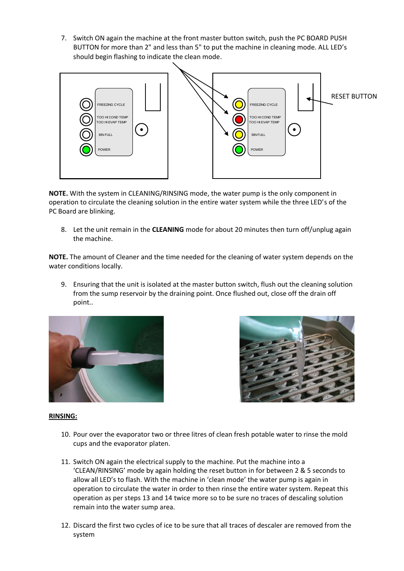7. Switch ON again the machine at the front master button switch, push the PC BOARD PUSH BUTTON for more than 2" and less than 5" to put the machine in cleaning mode. ALL LED's should begin flashing to indicate the clean mode.



**NOTE.** With the system in CLEANING/RINSING mode, the water pump is the only component in operation to circulate the cleaning solution in the entire water system while the three LED's of the PC Board are blinking.

8. Let the unit remain in the **CLEANING** mode for about 20 minutes then turn off/unplug again the machine.

**NOTE.** The amount of Cleaner and the time needed for the cleaning of water system depends on the water conditions locally.

9. Ensuring that the unit is isolated at the master button switch, flush out the cleaning solution from the sump reservoir by the draining point. Once flushed out, close off the drain off point..





#### **RINSING:**

- 10. Pour over the evaporator two or three litres of clean fresh potable water to rinse the mold cups and the evaporator platen.
- 11. Switch ON again the electrical supply to the machine. Put the machine into a 'CLEAN/RINSING' mode by again holding the reset button in for between 2 & 5 seconds to allow all LED's to flash. With the machine in 'clean mode' the water pump is again in operation to circulate the water in order to then rinse the entire water system. Repeat this operation as per steps 13 and 14 twice more so to be sure no traces of descaling solution remain into the water sump area.
- 12. Discard the first two cycles of ice to be sure that all traces of descaler are removed from the system